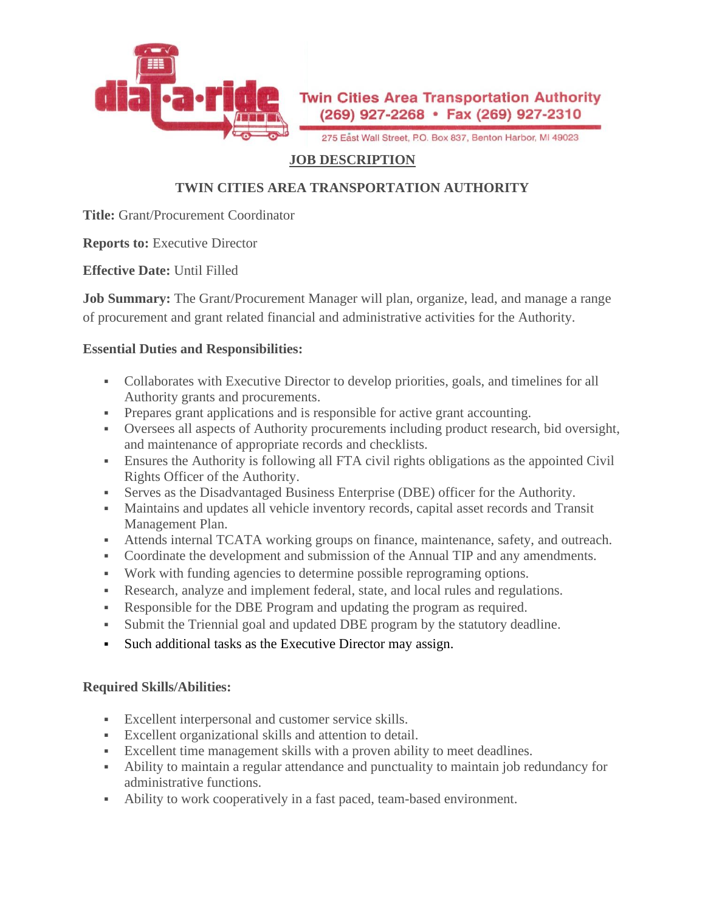

275 East Wall Street, P.O. Box 837, Benton Harbor, MI 49023

### **JOB DESCRIPTION**

## **TWIN CITIES AREA TRANSPORTATION AUTHORITY**

**Title:** Grant/Procurement Coordinator

**Reports to:** Executive Director

**Effective Date:** Until Filled

**Job Summary:** The Grant/Procurement Manager will plan, organize, lead, and manage a range of procurement and grant related financial and administrative activities for the Authority.

#### **Essential Duties and Responsibilities:**

- Collaborates with Executive Director to develop priorities, goals, and timelines for all Authority grants and procurements.
- **•** Prepares grant applications and is responsible for active grant accounting.
- Oversees all aspects of Authority procurements including product research, bid oversight, and maintenance of appropriate records and checklists.
- **Ensures the Authority is following all FTA civil rights obligations as the appointed Civil** Rights Officer of the Authority.
- Serves as the Disadvantaged Business Enterprise (DBE) officer for the Authority.
- Maintains and updates all vehicle inventory records, capital asset records and Transit Management Plan.
- **EXECUTE:** Attends internal TCATA working groups on finance, maintenance, safety, and outreach.
- Coordinate the development and submission of the Annual TIP and any amendments.
- Work with funding agencies to determine possible reprograming options.
- Research, analyze and implement federal, state, and local rules and regulations.
- Responsible for the DBE Program and updating the program as required.
- Submit the Triennial goal and updated DBE program by the statutory deadline.
- Such additional tasks as the Executive Director may assign.

### **Required Skills/Abilities:**

- Excellent interpersonal and customer service skills.
- Excellent organizational skills and attention to detail.
- Excellent time management skills with a proven ability to meet deadlines.
- Ability to maintain a regular attendance and punctuality to maintain job redundancy for administrative functions.
- Ability to work cooperatively in a fast paced, team-based environment.